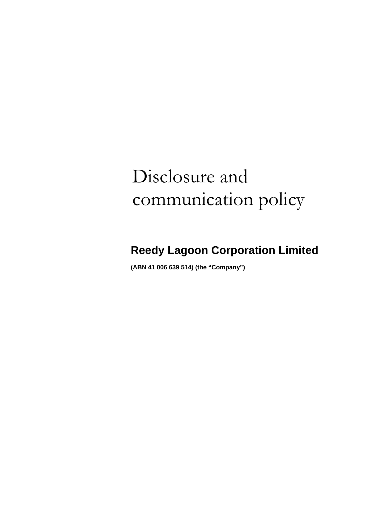# Disclosure and communication policy

# **Reedy Lagoon Corporation Limited**

**(ABN 41 006 639 514) (the "Company")**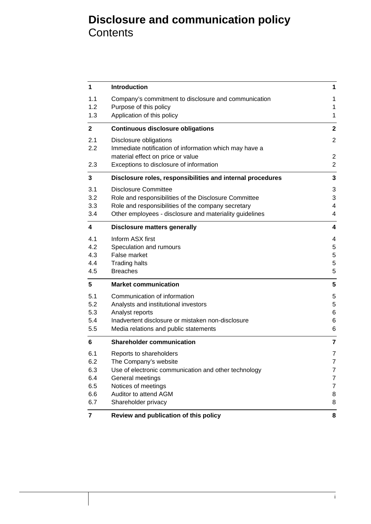# **Disclosure and communication policy Contents**

| 1                       | <b>Introduction</b>                                        | 1              |
|-------------------------|------------------------------------------------------------|----------------|
| 1.1                     | Company's commitment to disclosure and communication       | 1              |
| 1.2                     | Purpose of this policy                                     | 1              |
| 1.3                     | Application of this policy                                 | 1              |
| $\mathbf{2}$            | <b>Continuous disclosure obligations</b>                   | $\mathbf{2}$   |
| 2.1                     | Disclosure obligations                                     | $\overline{2}$ |
| 2.2                     | Immediate notification of information which may have a     |                |
|                         | material effect on price or value                          | $\overline{2}$ |
| 2.3                     | Exceptions to disclosure of information                    | $\overline{2}$ |
| 3                       | Disclosure roles, responsibilities and internal procedures | 3              |
| 3.1                     | <b>Disclosure Committee</b>                                | 3              |
| 3.2                     | Role and responsibilities of the Disclosure Committee      | 3              |
| 3.3                     | Role and responsibilities of the company secretary         | 4              |
| 3.4                     | Other employees - disclosure and materiality guidelines    | 4              |
| $\overline{\mathbf{4}}$ | <b>Disclosure matters generally</b>                        | 4              |
| 4.1                     | Inform ASX first                                           | 4              |
| 4.2                     | Speculation and rumours                                    | 5              |
| 4.3                     | False market                                               | 5              |
| 4.4                     | <b>Trading halts</b>                                       | 5              |
| 4.5                     | <b>Breaches</b>                                            | 5              |
| 5                       | <b>Market communication</b>                                | 5              |
| 5.1                     | Communication of information                               | 5              |
| 5.2                     | Analysts and institutional investors                       | 5              |
| 5.3                     | Analyst reports                                            | 6              |
| 5.4                     | Inadvertent disclosure or mistaken non-disclosure          | 6              |
| 5.5                     | Media relations and public statements                      | 6              |
| 6                       | <b>Shareholder communication</b>                           | 7              |
| 6.1                     | Reports to shareholders                                    | 7              |
| 6.2                     | The Company's website                                      | 7              |
| 6.3                     | Use of electronic communication and other technology       | 7              |
| 6.4                     | General meetings                                           | 7              |
| 6.5                     | Notices of meetings                                        | $\overline{7}$ |
| 6.6                     | Auditor to attend AGM                                      | 8              |
| 6.7                     | Shareholder privacy                                        | 8              |
| 7                       | Review and publication of this policy                      | 8              |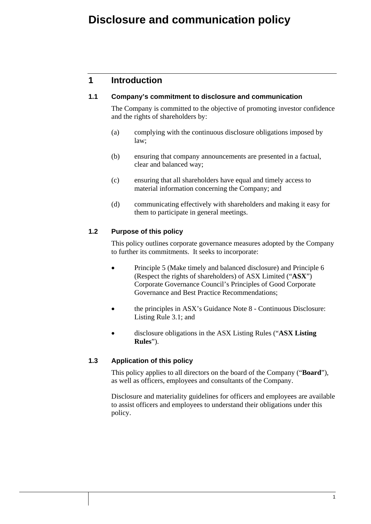# **Disclosure and communication policy**

# **1 Introduction**

#### **1.1 Company's commitment to disclosure and communication**

The Company is committed to the objective of promoting investor confidence and the rights of shareholders by:

- (a) complying with the continuous disclosure obligations imposed by law;
- (b) ensuring that company announcements are presented in a factual, clear and balanced way;
- (c) ensuring that all shareholders have equal and timely access to material information concerning the Company; and
- (d) communicating effectively with shareholders and making it easy for them to participate in general meetings.

#### **1.2 Purpose of this policy**

This policy outlines corporate governance measures adopted by the Company to further its commitments. It seeks to incorporate:

- Principle 5 (Make timely and balanced disclosure) and Principle 6 (Respect the rights of shareholders) of ASX Limited ("**ASX**") Corporate Governance Council's Principles of Good Corporate Governance and Best Practice Recommendations;
- the principles in ASX's Guidance Note 8 Continuous Disclosure: Listing Rule 3.1; and
- disclosure obligations in the ASX Listing Rules ("**ASX Listing Rules**").

#### **1.3 Application of this policy**

This policy applies to all directors on the board of the Company ("**Board**"), as well as officers, employees and consultants of the Company.

Disclosure and materiality guidelines for officers and employees are available to assist officers and employees to understand their obligations under this policy.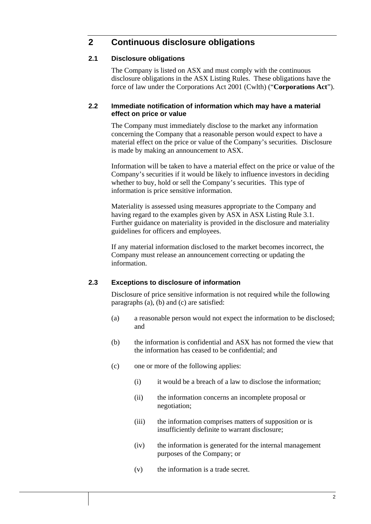# **2 Continuous disclosure obligations**

#### **2.1 Disclosure obligations**

The Company is listed on ASX and must comply with the continuous disclosure obligations in the ASX Listing Rules. These obligations have the force of law under the Corporations Act 2001 (Cwlth) ("**Corporations Act**").

#### **2.2 Immediate notification of information which may have a material effect on price or value**

The Company must immediately disclose to the market any information concerning the Company that a reasonable person would expect to have a material effect on the price or value of the Company's securities. Disclosure is made by making an announcement to ASX.

Information will be taken to have a material effect on the price or value of the Company's securities if it would be likely to influence investors in deciding whether to buy, hold or sell the Company's securities. This type of information is price sensitive information.

Materiality is assessed using measures appropriate to the Company and having regard to the examples given by ASX in ASX Listing Rule 3.1. Further guidance on materiality is provided in the disclosure and materiality guidelines for officers and employees.

If any material information disclosed to the market becomes incorrect, the Company must release an announcement correcting or updating the information.

#### **2.3 Exceptions to disclosure of information**

Disclosure of price sensitive information is not required while the following paragraphs (a), (b) and (c) are satisfied:

- (a) a reasonable person would not expect the information to be disclosed; and
- (b) the information is confidential and ASX has not formed the view that the information has ceased to be confidential; and
- (c) one or more of the following applies:
	- (i) it would be a breach of a law to disclose the information;
	- (ii) the information concerns an incomplete proposal or negotiation;
	- (iii) the information comprises matters of supposition or is insufficiently definite to warrant disclosure;
	- (iv) the information is generated for the internal management purposes of the Company; or
	- (v) the information is a trade secret.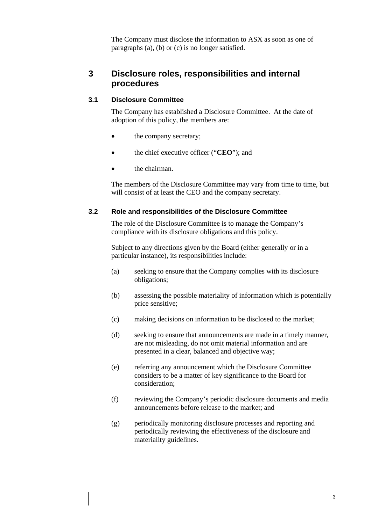The Company must disclose the information to ASX as soon as one of paragraphs (a), (b) or (c) is no longer satisfied.

### **3 Disclosure roles, responsibilities and internal procedures**

#### **3.1 Disclosure Committee**

The Company has established a Disclosure Committee. At the date of adoption of this policy, the members are:

- the company secretary;
- the chief executive officer ("**CEO**"); and
- the chairman.

The members of the Disclosure Committee may vary from time to time, but will consist of at least the CEO and the company secretary.

#### **3.2 Role and responsibilities of the Disclosure Committee**

The role of the Disclosure Committee is to manage the Company's compliance with its disclosure obligations and this policy.

Subject to any directions given by the Board (either generally or in a particular instance), its responsibilities include:

- (a) seeking to ensure that the Company complies with its disclosure obligations;
- (b) assessing the possible materiality of information which is potentially price sensitive;
- (c) making decisions on information to be disclosed to the market;
- (d) seeking to ensure that announcements are made in a timely manner, are not misleading, do not omit material information and are presented in a clear, balanced and objective way;
- (e) referring any announcement which the Disclosure Committee considers to be a matter of key significance to the Board for consideration;
- (f) reviewing the Company's periodic disclosure documents and media announcements before release to the market; and
- (g) periodically monitoring disclosure processes and reporting and periodically reviewing the effectiveness of the disclosure and materiality guidelines.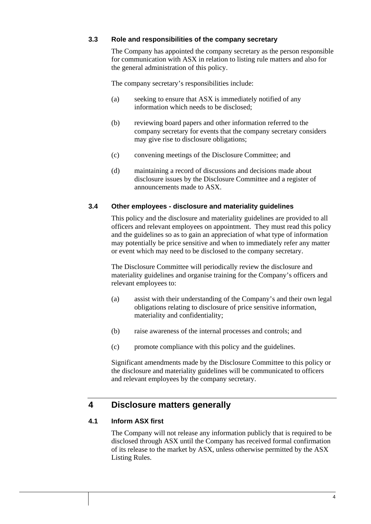#### **3.3 Role and responsibilities of the company secretary**

The Company has appointed the company secretary as the person responsible for communication with ASX in relation to listing rule matters and also for the general administration of this policy.

The company secretary's responsibilities include:

- (a) seeking to ensure that ASX is immediately notified of any information which needs to be disclosed;
- (b) reviewing board papers and other information referred to the company secretary for events that the company secretary considers may give rise to disclosure obligations;
- (c) convening meetings of the Disclosure Committee; and
- (d) maintaining a record of discussions and decisions made about disclosure issues by the Disclosure Committee and a register of announcements made to ASX.

#### **3.4 Other employees - disclosure and materiality guidelines**

This policy and the disclosure and materiality guidelines are provided to all officers and relevant employees on appointment. They must read this policy and the guidelines so as to gain an appreciation of what type of information may potentially be price sensitive and when to immediately refer any matter or event which may need to be disclosed to the company secretary.

The Disclosure Committee will periodically review the disclosure and materiality guidelines and organise training for the Company's officers and relevant employees to:

- (a) assist with their understanding of the Company's and their own legal obligations relating to disclosure of price sensitive information, materiality and confidentiality;
- (b) raise awareness of the internal processes and controls; and
- (c) promote compliance with this policy and the guidelines.

Significant amendments made by the Disclosure Committee to this policy or the disclosure and materiality guidelines will be communicated to officers and relevant employees by the company secretary.

#### **4 Disclosure matters generally**

#### **4.1 Inform ASX first**

The Company will not release any information publicly that is required to be disclosed through ASX until the Company has received formal confirmation of its release to the market by ASX, unless otherwise permitted by the ASX Listing Rules.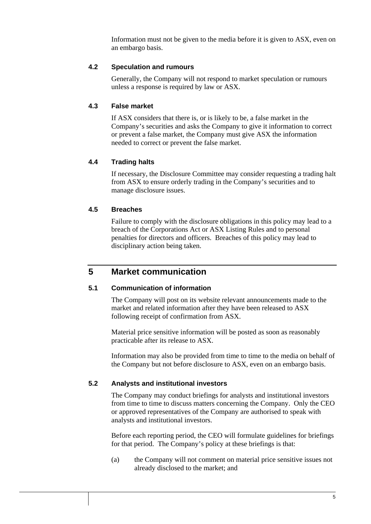Information must not be given to the media before it is given to ASX, even on an embargo basis.

#### **4.2 Speculation and rumours**

Generally, the Company will not respond to market speculation or rumours unless a response is required by law or ASX.

#### **4.3 False market**

If ASX considers that there is, or is likely to be, a false market in the Company's securities and asks the Company to give it information to correct or prevent a false market, the Company must give ASX the information needed to correct or prevent the false market.

#### **4.4 Trading halts**

If necessary, the Disclosure Committee may consider requesting a trading halt from ASX to ensure orderly trading in the Company's securities and to manage disclosure issues.

#### **4.5 Breaches**

Failure to comply with the disclosure obligations in this policy may lead to a breach of the Corporations Act or ASX Listing Rules and to personal penalties for directors and officers. Breaches of this policy may lead to disciplinary action being taken.

### **5 Market communication**

#### **5.1 Communication of information**

The Company will post on its website relevant announcements made to the market and related information after they have been released to ASX following receipt of confirmation from ASX.

Material price sensitive information will be posted as soon as reasonably practicable after its release to ASX.

Information may also be provided from time to time to the media on behalf of the Company but not before disclosure to ASX, even on an embargo basis.

#### **5.2 Analysts and institutional investors**

The Company may conduct briefings for analysts and institutional investors from time to time to discuss matters concerning the Company. Only the CEO or approved representatives of the Company are authorised to speak with analysts and institutional investors.

Before each reporting period, the CEO will formulate guidelines for briefings for that period. The Company's policy at these briefings is that:

(a) the Company will not comment on material price sensitive issues not already disclosed to the market; and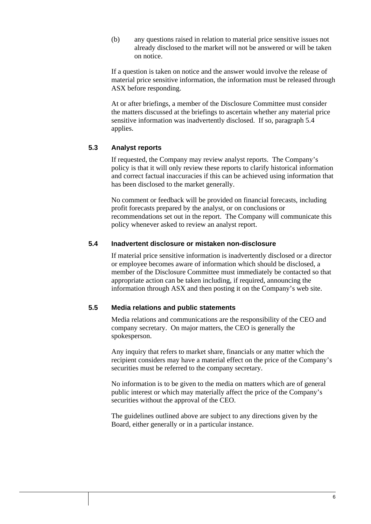(b) any questions raised in relation to material price sensitive issues not already disclosed to the market will not be answered or will be taken on notice.

If a question is taken on notice and the answer would involve the release of material price sensitive information, the information must be released through ASX before responding.

At or after briefings, a member of the Disclosure Committee must consider the matters discussed at the briefings to ascertain whether any material price sensitive information was inadvertently disclosed. If so, paragraph 5.4 applies.

#### **5.3 Analyst reports**

If requested, the Company may review analyst reports. The Company's policy is that it will only review these reports to clarify historical information and correct factual inaccuracies if this can be achieved using information that has been disclosed to the market generally.

No comment or feedback will be provided on financial forecasts, including profit forecasts prepared by the analyst, or on conclusions or recommendations set out in the report. The Company will communicate this policy whenever asked to review an analyst report.

#### **5.4 Inadvertent disclosure or mistaken non-disclosure**

If material price sensitive information is inadvertently disclosed or a director or employee becomes aware of information which should be disclosed, a member of the Disclosure Committee must immediately be contacted so that appropriate action can be taken including, if required, announcing the information through ASX and then posting it on the Company's web site.

#### **5.5 Media relations and public statements**

Media relations and communications are the responsibility of the CEO and company secretary. On major matters, the CEO is generally the spokesperson.

Any inquiry that refers to market share, financials or any matter which the recipient considers may have a material effect on the price of the Company's securities must be referred to the company secretary.

No information is to be given to the media on matters which are of general public interest or which may materially affect the price of the Company's securities without the approval of the CEO.

The guidelines outlined above are subject to any directions given by the Board, either generally or in a particular instance.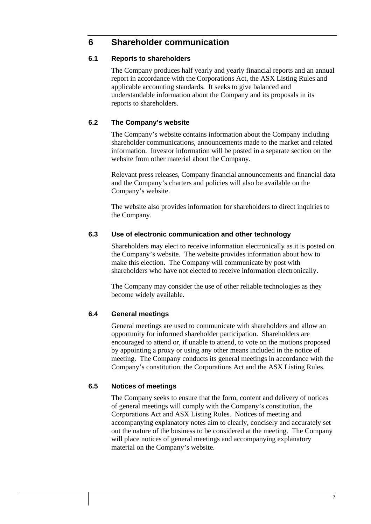### **6 Shareholder communication**

#### **6.1 Reports to shareholders**

The Company produces half yearly and yearly financial reports and an annual report in accordance with the Corporations Act, the ASX Listing Rules and applicable accounting standards. It seeks to give balanced and understandable information about the Company and its proposals in its reports to shareholders.

#### **6.2 The Company's website**

The Company's website contains information about the Company including shareholder communications, announcements made to the market and related information. Investor information will be posted in a separate section on the website from other material about the Company.

Relevant press releases, Company financial announcements and financial data and the Company's charters and policies will also be available on the Company's website.

The website also provides information for shareholders to direct inquiries to the Company.

#### **6.3 Use of electronic communication and other technology**

Shareholders may elect to receive information electronically as it is posted on the Company's website. The website provides information about how to make this election. The Company will communicate by post with shareholders who have not elected to receive information electronically.

The Company may consider the use of other reliable technologies as they become widely available.

#### **6.4 General meetings**

General meetings are used to communicate with shareholders and allow an opportunity for informed shareholder participation. Shareholders are encouraged to attend or, if unable to attend, to vote on the motions proposed by appointing a proxy or using any other means included in the notice of meeting. The Company conducts its general meetings in accordance with the Company's constitution, the Corporations Act and the ASX Listing Rules.

#### **6.5 Notices of meetings**

The Company seeks to ensure that the form, content and delivery of notices of general meetings will comply with the Company's constitution, the Corporations Act and ASX Listing Rules. Notices of meeting and accompanying explanatory notes aim to clearly, concisely and accurately set out the nature of the business to be considered at the meeting. The Company will place notices of general meetings and accompanying explanatory material on the Company's website.